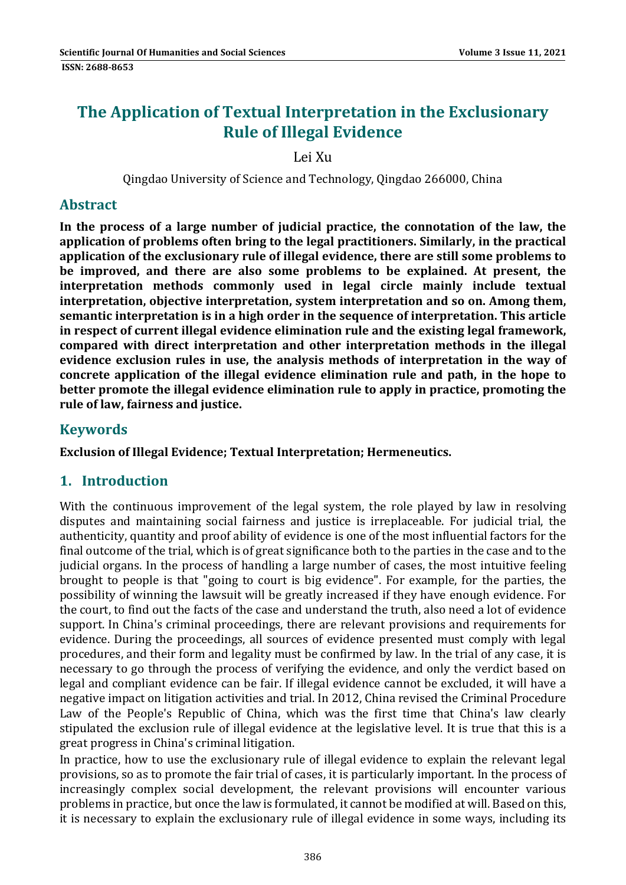# **The Application of Textual Interpretation in the Exclusionary Rule of Illegal Evidence**

Lei Xu 

Qingdao University of Science and Technology, Qingdao 266000, China 

#### **Abstract**

**In the process of a large number of judicial practice, the connotation of the law, the application of problems often bring to the legal practitioners. Similarly, in the practical application of the exclusionary rule of illegal evidence, there are still some problems to be improved, and there are also some problems to be explained. At present, the interpretation methods commonly used in legal circle mainly include textual interpretation, objective interpretation, system interpretation and so on. Among them, semantic interpretation is in a high order in the sequence of interpretation. This article in respect of current illegal evidence elimination rule and the existing legal framework, compared with direct interpretation and other interpretation methods in the illegal evidence exclusion rules in use, the analysis methods of interpretation in the way of concrete application of the illegal evidence elimination rule and path, in the hope to better promote the illegal evidence elimination rule to apply in practice, promoting the rule of law, fairness and justice.**

### **Keywords**

**Exclusion of Illegal Evidence; Textual Interpretation; Hermeneutics.**

### **1. Introduction**

With the continuous improvement of the legal system, the role played by law in resolving disputes and maintaining social fairness and justice is irreplaceable. For judicial trial, the authenticity, quantity and proof ability of evidence is one of the most influential factors for the final outcome of the trial, which is of great significance both to the parties in the case and to the judicial organs. In the process of handling a large number of cases, the most intuitive feeling brought to people is that "going to court is big evidence". For example, for the parties, the possibility of winning the lawsuit will be greatly increased if they have enough evidence. For the court, to find out the facts of the case and understand the truth, also need a lot of evidence support. In China's criminal proceedings, there are relevant provisions and requirements for evidence. During the proceedings, all sources of evidence presented must comply with legal procedures, and their form and legality must be confirmed by law. In the trial of any case, it is necessary to go through the process of verifying the evidence, and only the verdict based on legal and compliant evidence can be fair. If illegal evidence cannot be excluded, it will have a negative impact on litigation activities and trial. In 2012, China revised the Criminal Procedure Law of the People's Republic of China, which was the first time that China's law clearly stipulated the exclusion rule of illegal evidence at the legislative level. It is true that this is a great progress in China's criminal litigation.

In practice, how to use the exclusionary rule of illegal evidence to explain the relevant legal provisions, so as to promote the fair trial of cases, it is particularly important. In the process of increasingly complex social development, the relevant provisions will encounter various problems in practice, but once the law is formulated, it cannot be modified at will. Based on this, it is necessary to explain the exclusionary rule of illegal evidence in some ways, including its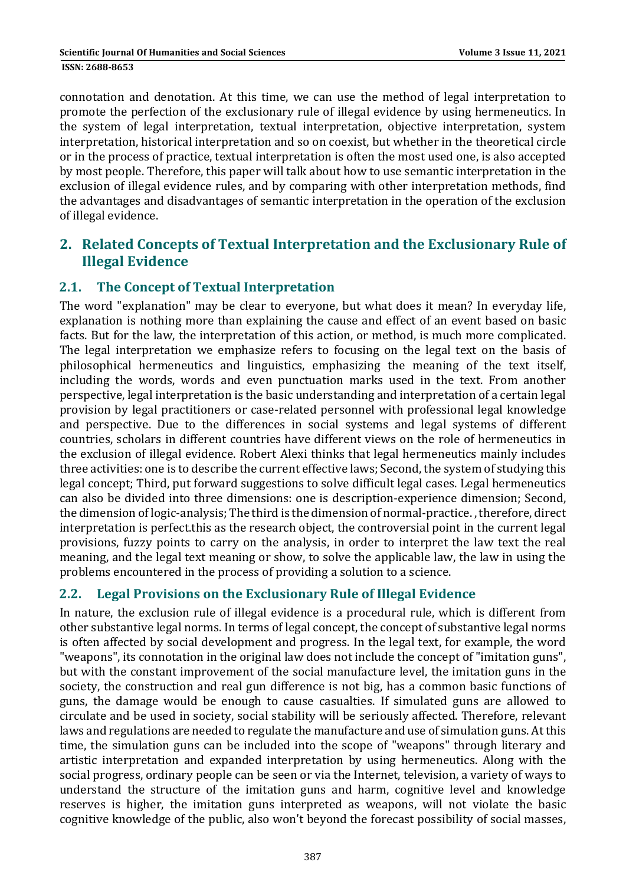connotation and denotation. At this time, we can use the method of legal interpretation to promote the perfection of the exclusionary rule of illegal evidence by using hermeneutics. In the system of legal interpretation, textual interpretation, objective interpretation, system interpretation, historical interpretation and so on coexist, but whether in the theoretical circle or in the process of practice, textual interpretation is often the most used one, is also accepted by most people. Therefore, this paper will talk about how to use semantic interpretation in the exclusion of illegal evidence rules, and by comparing with other interpretation methods, find the advantages and disadvantages of semantic interpretation in the operation of the exclusion of illegal evidence.

## **2. Related Concepts of Textual Interpretation and the Exclusionary Rule of Illegal Evidence**

### **2.1. The Concept of Textual Interpretation**

The word "explanation" may be clear to everyone, but what does it mean? In everyday life, explanation is nothing more than explaining the cause and effect of an event based on basic facts. But for the law, the interpretation of this action, or method, is much more complicated. The legal interpretation we emphasize refers to focusing on the legal text on the basis of philosophical hermeneutics and linguistics, emphasizing the meaning of the text itself, including the words, words and even punctuation marks used in the text. From another perspective, legal interpretation is the basic understanding and interpretation of a certain legal provision by legal practitioners or case-related personnel with professional legal knowledge and perspective. Due to the differences in social systems and legal systems of different countries, scholars in different countries have different views on the role of hermeneutics in the exclusion of illegal evidence. Robert Alexi thinks that legal hermeneutics mainly includes three activities: one is to describe the current effective laws; Second, the system of studying this legal concept; Third, put forward suggestions to solve difficult legal cases. Legal hermeneutics can also be divided into three dimensions: one is description-experience dimension; Second, the dimension of logic-analysis: The third is the dimension of normal-practice. , therefore, direct interpretation is perfect this as the research object, the controversial point in the current legal provisions, fuzzy points to carry on the analysis, in order to interpret the law text the real meaning, and the legal text meaning or show, to solve the applicable law, the law in using the problems encountered in the process of providing a solution to a science.

### **2.2. Legal Provisions on the Exclusionary Rule of Illegal Evidence**

In nature, the exclusion rule of illegal evidence is a procedural rule, which is different from other substantive legal norms. In terms of legal concept, the concept of substantive legal norms is often affected by social development and progress. In the legal text, for example, the word "weapons", its connotation in the original law does not include the concept of "imitation guns", but with the constant improvement of the social manufacture level, the imitation guns in the society, the construction and real gun difference is not big, has a common basic functions of guns, the damage would be enough to cause casualties. If simulated guns are allowed to circulate and be used in society, social stability will be seriously affected. Therefore, relevant laws and regulations are needed to regulate the manufacture and use of simulation guns. At this time, the simulation guns can be included into the scope of "weapons" through literary and artistic interpretation and expanded interpretation by using hermeneutics. Along with the social progress, ordinary people can be seen or via the Internet, television, a variety of ways to understand the structure of the imitation guns and harm, cognitive level and knowledge reserves is higher, the imitation guns interpreted as weapons, will not violate the basic cognitive knowledge of the public, also won't beyond the forecast possibility of social masses,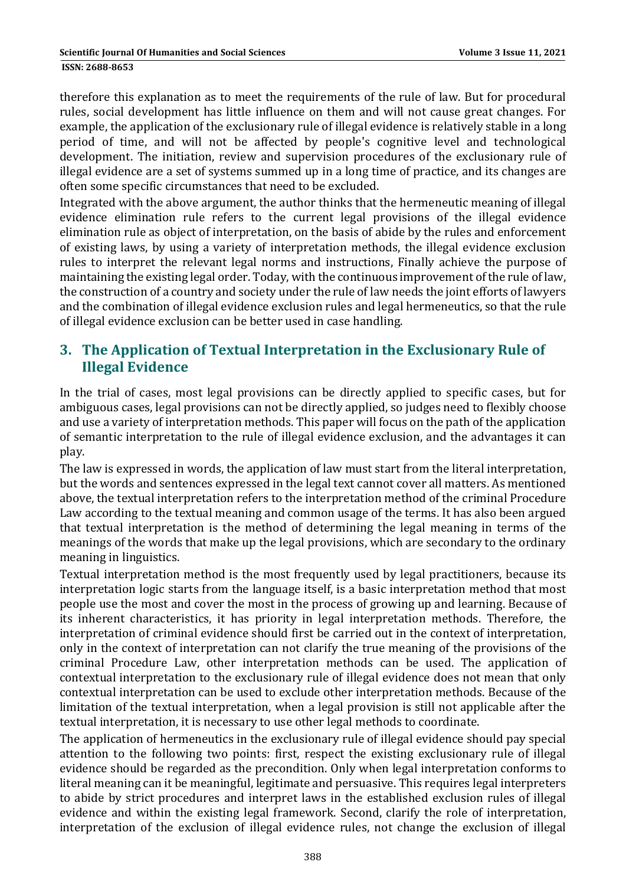therefore this explanation as to meet the requirements of the rule of law. But for procedural rules, social development has little influence on them and will not cause great changes. For example, the application of the exclusionary rule of illegal evidence is relatively stable in a long period of time, and will not be affected by people's cognitive level and technological development. The initiation, review and supervision procedures of the exclusionary rule of illegal evidence are a set of systems summed up in a long time of practice, and its changes are often some specific circumstances that need to be excluded.

Integrated with the above argument, the author thinks that the hermeneutic meaning of illegal evidence elimination rule refers to the current legal provisions of the illegal evidence elimination rule as object of interpretation, on the basis of abide by the rules and enforcement of existing laws, by using a variety of interpretation methods, the illegal evidence exclusion rules to interpret the relevant legal norms and instructions, Finally achieve the purpose of maintaining the existing legal order. Today, with the continuous improvement of the rule of law, the construction of a country and society under the rule of law needs the joint efforts of lawyers and the combination of illegal evidence exclusion rules and legal hermeneutics, so that the rule of illegal evidence exclusion can be better used in case handling.

## **3. The Application of Textual Interpretation in the Exclusionary Rule of Illegal Evidence**

In the trial of cases, most legal provisions can be directly applied to specific cases, but for ambiguous cases, legal provisions can not be directly applied, so judges need to flexibly choose and use a variety of interpretation methods. This paper will focus on the path of the application of semantic interpretation to the rule of illegal evidence exclusion, and the advantages it can play. 

The law is expressed in words, the application of law must start from the literal interpretation, but the words and sentences expressed in the legal text cannot cover all matters. As mentioned above, the textual interpretation refers to the interpretation method of the criminal Procedure Law according to the textual meaning and common usage of the terms. It has also been argued that textual interpretation is the method of determining the legal meaning in terms of the meanings of the words that make up the legal provisions, which are secondary to the ordinary meaning in linguistics.

Textual interpretation method is the most frequently used by legal practitioners, because its interpretation logic starts from the language itself, is a basic interpretation method that most people use the most and cover the most in the process of growing up and learning. Because of its inherent characteristics, it has priority in legal interpretation methods. Therefore, the interpretation of criminal evidence should first be carried out in the context of interpretation, only in the context of interpretation can not clarify the true meaning of the provisions of the criminal Procedure Law, other interpretation methods can be used. The application of contextual interpretation to the exclusionary rule of illegal evidence does not mean that only contextual interpretation can be used to exclude other interpretation methods. Because of the limitation of the textual interpretation, when a legal provision is still not applicable after the textual interpretation, it is necessary to use other legal methods to coordinate.

The application of hermeneutics in the exclusionary rule of illegal evidence should pay special attention to the following two points: first, respect the existing exclusionary rule of illegal evidence should be regarded as the precondition. Only when legal interpretation conforms to literal meaning can it be meaningful, legitimate and persuasive. This requires legal interpreters to abide by strict procedures and interpret laws in the established exclusion rules of illegal evidence and within the existing legal framework. Second, clarify the role of interpretation, interpretation of the exclusion of illegal evidence rules, not change the exclusion of illegal